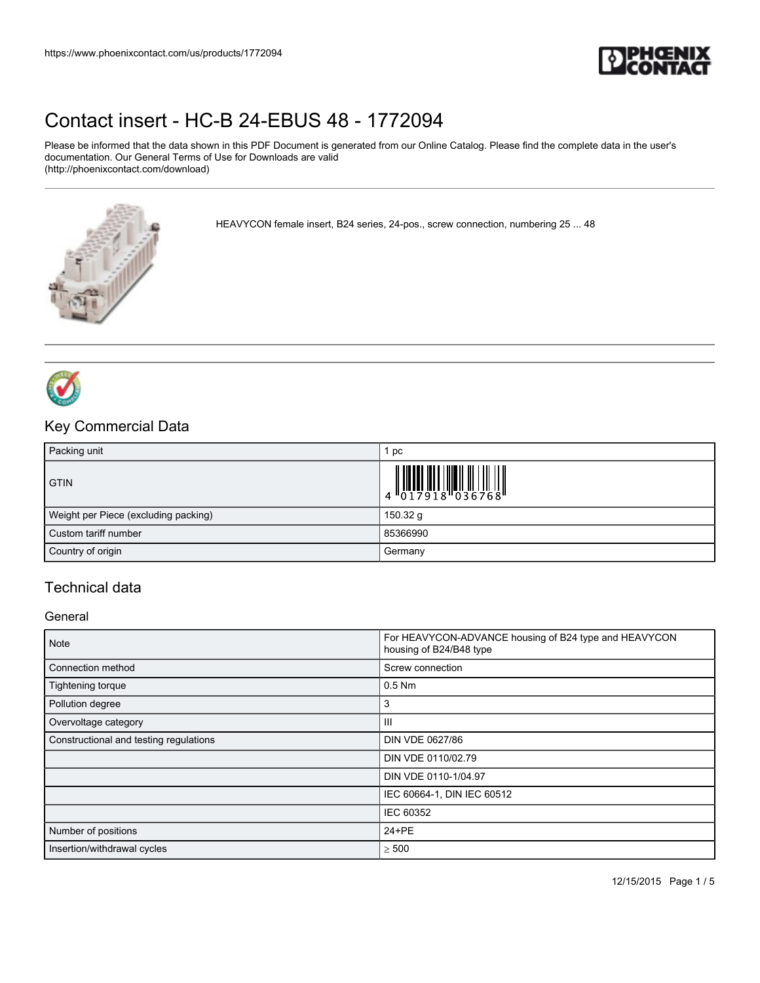

Please be informed that the data shown in this PDF Document is generated from our Online Catalog. Please find the complete data in the user's documentation. Our General Terms of Use for Downloads are valid (http://phoenixcontact.com/download)

HEAVYCON female insert, B24 series, 24-pos., screw connection, numbering 25 ... 48





### Key Commercial Data

| Packing unit                         | рc                                                                                                                                                                                                                                                                                                                                                                                                                                                                       |
|--------------------------------------|--------------------------------------------------------------------------------------------------------------------------------------------------------------------------------------------------------------------------------------------------------------------------------------------------------------------------------------------------------------------------------------------------------------------------------------------------------------------------|
| <b>GTIN</b>                          | $\left \begin{array}{c} \phantom{-} \phantom{-} \\ 4 \phantom{+} \phantom{+} \\ 0 \phantom{+} \phantom{+} \\ 2 \phantom{+} \phantom{+} \\ 0 \phantom{+} \phantom{+} \\ 0 \phantom{+} \\ 1 \phantom{+} \end{array}\right  \left \begin{array}{c} \phantom{-} \phantom{-} \phantom{-} \\ \phantom{-} \phantom{-} \\ 0 \phantom{+} \\ 0 \phantom{+} \\ 0 \phantom{+} \\ 0 \phantom{+} \\ 0 \phantom{+} \\ 0 \phantom{+} \\ 0 \phantom{+} \\ 0 \phantom{+} \\ 0 \phantom{+}$ |
| Weight per Piece (excluding packing) | 150.32 g                                                                                                                                                                                                                                                                                                                                                                                                                                                                 |
| Custom tariff number                 | 85366990                                                                                                                                                                                                                                                                                                                                                                                                                                                                 |
| Country of origin                    | Germany                                                                                                                                                                                                                                                                                                                                                                                                                                                                  |

## Technical data

#### **General**

| Note                                   | For HEAVYCON-ADVANCE housing of B24 type and HEAVYCON<br>housing of B24/B48 type |
|----------------------------------------|----------------------------------------------------------------------------------|
| Connection method                      | Screw connection                                                                 |
| Tightening torque                      | $0.5$ Nm                                                                         |
| Pollution degree                       | з                                                                                |
| Overvoltage category                   | Ш                                                                                |
| Constructional and testing regulations | DIN VDE 0627/86                                                                  |
|                                        | DIN VDE 0110/02.79                                                               |
|                                        | DIN VDE 0110-1/04.97                                                             |
|                                        | IEC 60664-1, DIN IEC 60512                                                       |
|                                        | IEC 60352                                                                        |
| Number of positions                    | 24+PE                                                                            |
| Insertion/withdrawal cycles            | $\geq 500$                                                                       |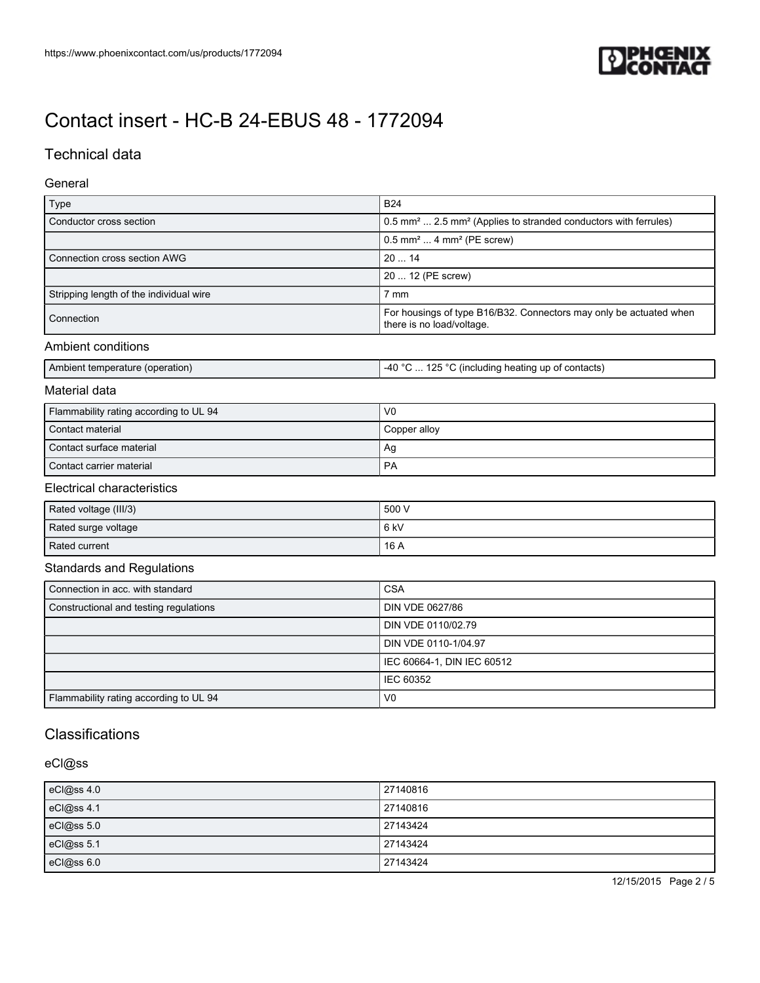

## Technical data

### General

| Type                                    | <b>B24</b>                                                                                      |
|-----------------------------------------|-------------------------------------------------------------------------------------------------|
| Conductor cross section                 | 0.5 mm <sup>2</sup> 2.5 mm <sup>2</sup> (Applies to stranded conductors with ferrules)          |
|                                         | $0.5$ mm <sup>2</sup> 4 mm <sup>2</sup> (PE screw)                                              |
| Connection cross section AWG            | 2014                                                                                            |
|                                         | 20  12 (PE screw)                                                                               |
| Stripping length of the individual wire | 7 mm                                                                                            |
| Connection                              | For housings of type B16/B32. Connectors may only be actuated when<br>there is no load/voltage. |
| Ambient conditions                      |                                                                                                 |
| Ambient temperature (operation)         | -40 °C $\ldots$ 125 °C (including heating up of contacts)                                       |

#### Material data

| Flammability rating according to UL 94 | V <sub>0</sub> |
|----------------------------------------|----------------|
| Contact material                       | Copper alloy   |
| Contact surface material               | Ag             |
| Contact carrier material               | <b>PA</b>      |

### Electrical characteristics

| Rated voltage (III/3) | 500 V |
|-----------------------|-------|
| Rated surge voltage   | 6kV   |
| Rated current         | 16 A  |

### Standards and Regulations

| Connection in acc. with standard       | <b>CSA</b>                 |
|----------------------------------------|----------------------------|
| Constructional and testing regulations | DIN VDE 0627/86            |
|                                        | DIN VDE 0110/02.79         |
|                                        | DIN VDE 0110-1/04.97       |
|                                        | IEC 60664-1, DIN IEC 60512 |
|                                        | IEC 60352                  |
| Flammability rating according to UL 94 | V <sub>0</sub>             |

## **Classifications**

### eCl@ss

| eCl@ss 4.0 | 27140816 |
|------------|----------|
| eCl@ss 4.1 | 27140816 |
| eCl@ss 5.0 | 27143424 |
| eCl@ss 5.1 | 27143424 |
| eCl@ss 6.0 | 27143424 |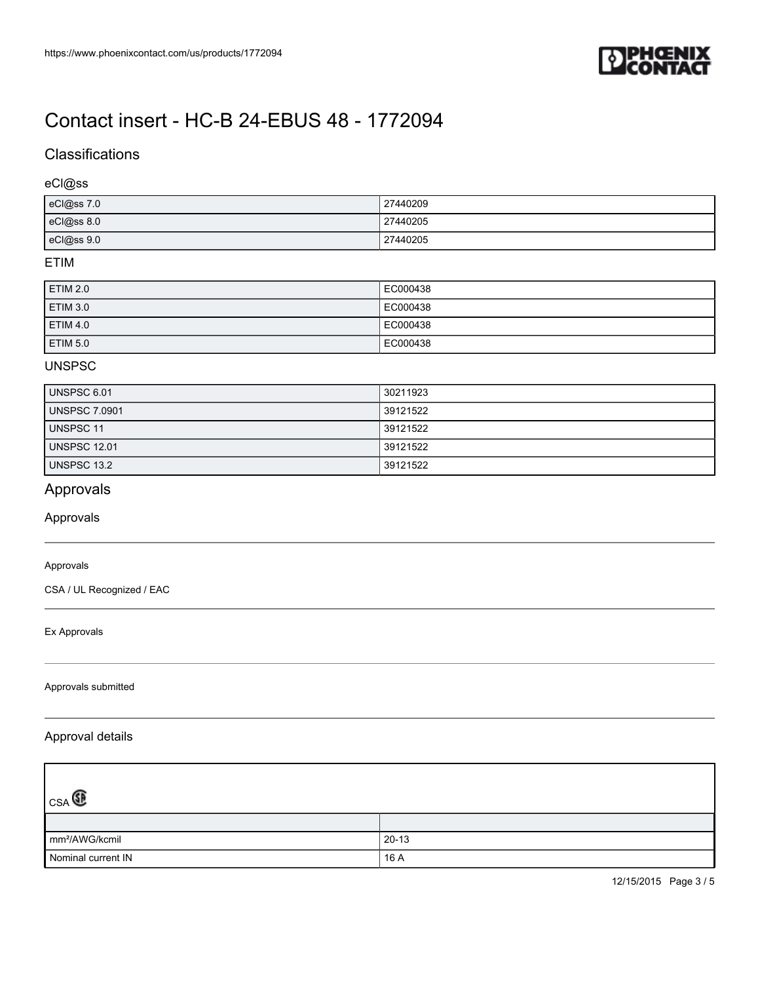

## **Classifications**

### eCl@ss

| eCl@ss 7.0 | 27440209 |
|------------|----------|
| eCl@ss 8.0 | 27440205 |
| eCl@ss 9.0 | 27440205 |

### ETIM

| ETIM 2.0        | EC000438 |
|-----------------|----------|
| ETIM 3.0        | EC000438 |
| <b>ETIM 4.0</b> | EC000438 |
| ETIM 5.0        | EC000438 |

### UNSPSC

| UNSPSC 6.01          | 30211923 |
|----------------------|----------|
| <b>UNSPSC 7.0901</b> | 39121522 |
| UNSPSC 11            | 39121522 |
| <b>UNSPSC 12.01</b>  | 39121522 |
| UNSPSC 13.2          | 39121522 |

## Approvals

### Approvals

#### Approvals

CSA / UL Recognized / EAC

#### Ex Approvals

### Approvals submitted

### Approval details

| $\mathbb{C}_{\text{CSA}}$  |           |
|----------------------------|-----------|
|                            |           |
| mm <sup>2</sup> /AWG/kcmil | $20 - 13$ |
| Nominal current IN         | 16 A      |

12/15/2015 Page 3 / 5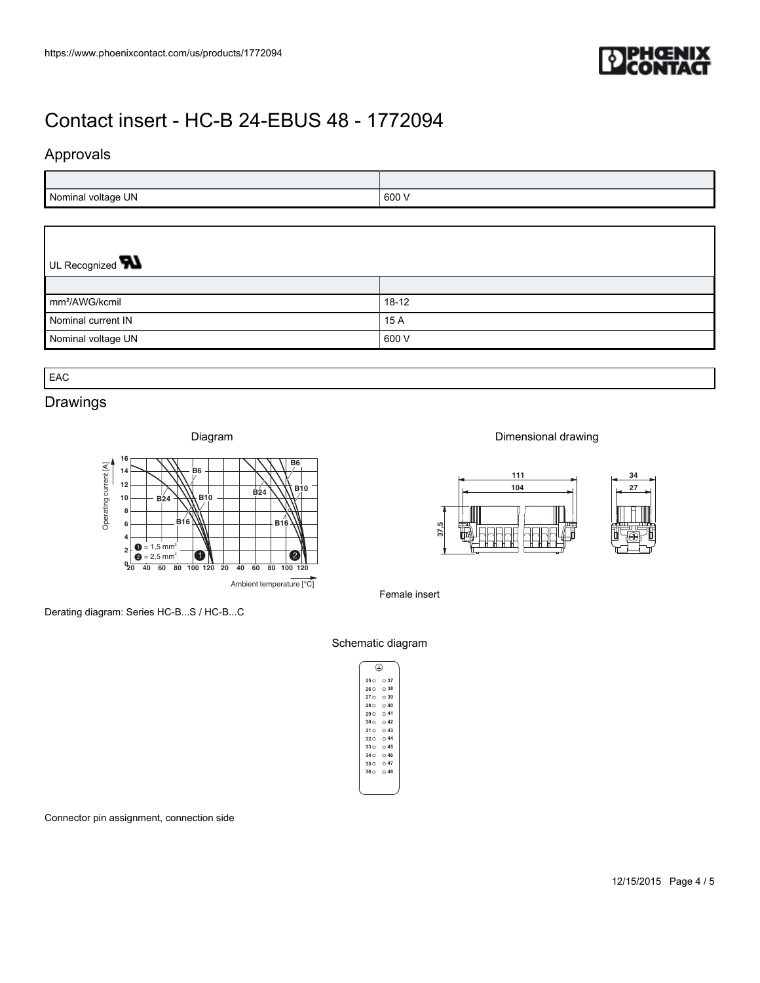

## Approvals

| Nominal voltage UN | .600' |
|--------------------|-------|

## UL Recognized **W**

| https://www.phoenixcontact.com/us/products/1772094                                                                                                                                                                                                                                                                                                                          |                                                      |          |
|-----------------------------------------------------------------------------------------------------------------------------------------------------------------------------------------------------------------------------------------------------------------------------------------------------------------------------------------------------------------------------|------------------------------------------------------|----------|
| Contact insert - HC-B 24-EBUS 48 - 1772094<br>Approvals                                                                                                                                                                                                                                                                                                                     |                                                      |          |
| Nominal voltage UN                                                                                                                                                                                                                                                                                                                                                          | 600 V                                                |          |
| UL Recognized <b>W</b>                                                                                                                                                                                                                                                                                                                                                      |                                                      |          |
| mm <sup>2</sup> /AWG/kcmil                                                                                                                                                                                                                                                                                                                                                  | $18-12$                                              |          |
| Nominal current IN                                                                                                                                                                                                                                                                                                                                                          | 15 A                                                 |          |
| Nominal voltage UN                                                                                                                                                                                                                                                                                                                                                          | 600 V                                                |          |
| EAC                                                                                                                                                                                                                                                                                                                                                                         |                                                      |          |
| Drawings                                                                                                                                                                                                                                                                                                                                                                    |                                                      |          |
| Diagram                                                                                                                                                                                                                                                                                                                                                                     | Dimensional drawing                                  |          |
| 16<br>B <sub>6</sub><br>Operating current [A]<br>B <sub>6</sub><br>14<br>12<br>$\frac{1}{1}$ B <sub>24</sub><br>B10<br>B24<br>$10\,$<br><b>B10</b><br>8<br>B16<br>B16<br>6<br>4<br>$\bullet$ = 1,5 mm <sup>2</sup><br>2 <sup>1</sup><br>$\bullet$<br>$\ddot{ }$ = 2,5 mm <sup>2</sup><br>$\bullet$<br>0 20 40 60 80 100 120 20 40 60 80 100 120<br>Ambient temperature [°C] | 111<br>₩<br>┝<br>$104$<br>7<br>37,5<br>Female insert | 34<br>27 |
|                                                                                                                                                                                                                                                                                                                                                                             |                                                      |          |

## Drawings



Derating diagram: Series HC-B...S / HC-B...C





#### Schematic diagram

| (⊥) |         |  |
|-----|---------|--|
|     | 250037  |  |
|     | 260038  |  |
|     | 270039  |  |
|     | 280 040 |  |
|     | 2900041 |  |
|     | 3000042 |  |
|     | 3100043 |  |
|     | 3200044 |  |
|     | 330 045 |  |
|     | 3400046 |  |
|     | 350047  |  |
|     | 3600048 |  |
|     |         |  |
|     |         |  |

Connector pin assignment, connection side